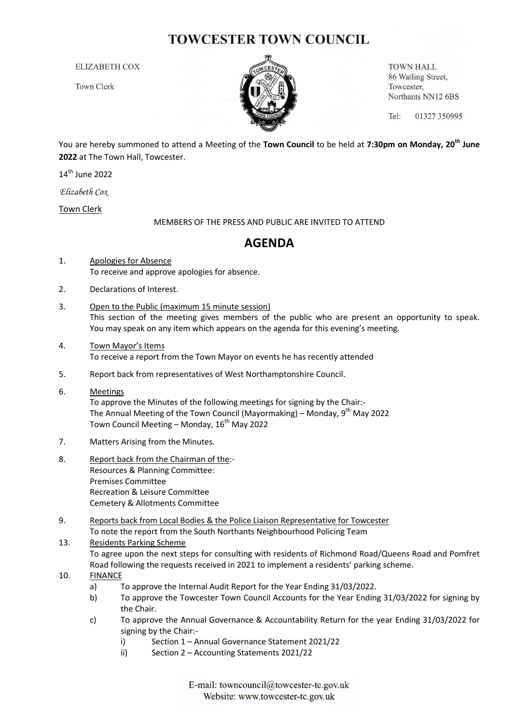## **TOWCESTER TOWN COUNCIL**

**ELIZABETH COX** 

**Town Clerk** 



**TOWN HALL** 86 Watling Street, Towcester, Northants NN12 6BS

Tel: 01327 350995

You are hereby summoned to attend a Meeting of the **Town Council** to be held at **7:30pm on Monday, 20th June 2022** at The Town Hall, Towcester.

14th June 2022

*Elizabeth Cox*

Town Clerk

MEMBERS OF THE PRESS AND PUBLIC ARE INVITED TO ATTEND

## **AGENDA**

- 1. Apologies for Absence To receive and approve apologies for absence.
- 2. Declarations of Interest.
- 3. Open to the Public (maximum 15 minute session) This section of the meeting gives members of the public who are present an opportunity to speak. You may speak on any item which appears on the agenda for this evening's meeting.
- 4. Town Mayor's Items To receive a report from the Town Mayor on events he has recently attended
- 5. Report back from representatives of West Northamptonshire Council.
- 6. Meetings To approve the Minutes of the following meetings for signing by the Chair:- The Annual Meeting of the Town Council (Mayormaking) – Monday, 9<sup>th</sup> May 2022 Town Council Meeting – Monday,  $16^{th}$  May 2022
- 7. Matters Arising from the Minutes.
- 8. Report back from the Chairman of the:- Resources & Planning Committee: Premises Committee Recreation & Leisure Committee Cemetery & Allotments Committee
- 9. Reports back from Local Bodies & the Police Liaison Representative for Towcester To note the report from the South Northants Neighbourhood Policing Team

## 13. Residents Parking Scheme

To agree upon the next steps for consulting with residents of Richmond Road/Queens Road and Pomfret Road following the requests received in 2021 to implement a residents' parking scheme.

- 10. FINANCE
	- a) To approve the Internal Audit Report for the Year Ending 31/03/2022.
	- b) To approve the Towcester Town Council Accounts for the Year Ending 31/03/2022 for signing by the Chair.
	- c) To approve the Annual Governance & Accountability Return for the year Ending 31/03/2022 for signing by the Chair:
		- i) Section 1 Annual Governance Statement 2021/22
		- ii) Section 2 Accounting Statements 2021/22

E-mail: towncouncil@towcester-tc.gov.uk Website: www.towcester-tc.gov.uk